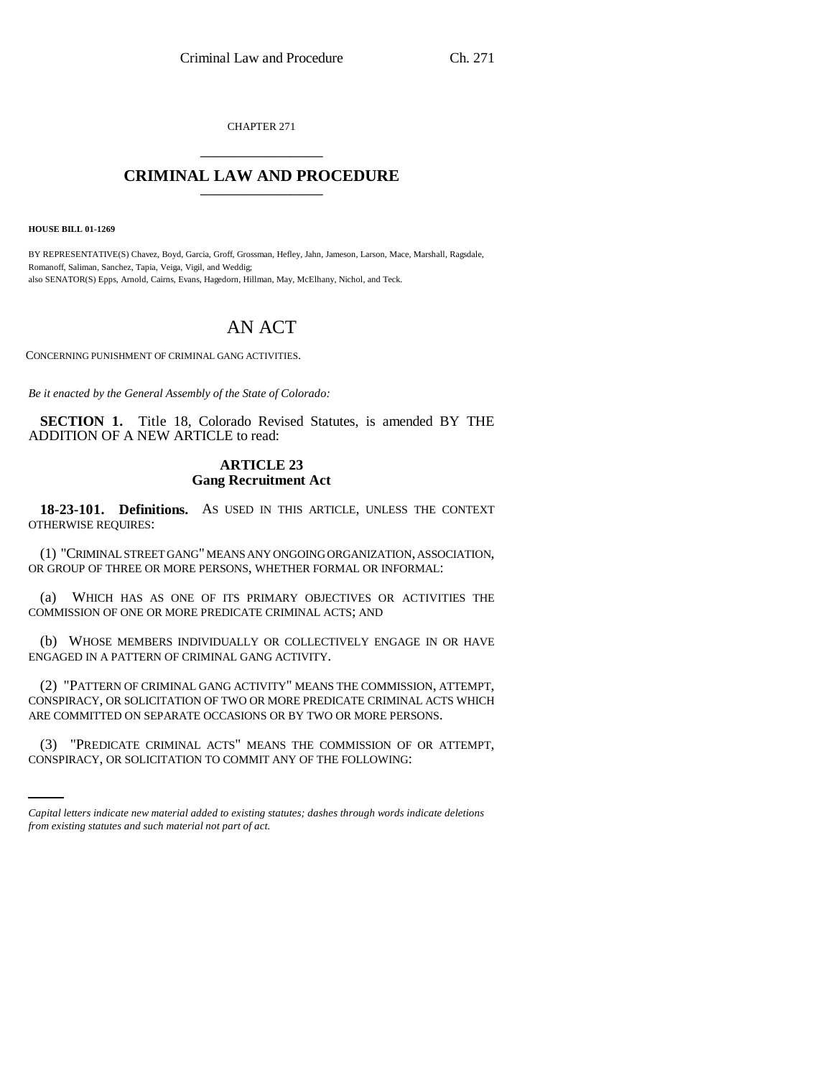CHAPTER 271 \_\_\_\_\_\_\_\_\_\_\_\_\_\_\_

## **CRIMINAL LAW AND PROCEDURE** \_\_\_\_\_\_\_\_\_\_\_\_\_\_\_

**HOUSE BILL 01-1269**

BY REPRESENTATIVE(S) Chavez, Boyd, Garcia, Groff, Grossman, Hefley, Jahn, Jameson, Larson, Mace, Marshall, Ragsdale, Romanoff, Saliman, Sanchez, Tapia, Veiga, Vigil, and Weddig; also SENATOR(S) Epps, Arnold, Cairns, Evans, Hagedorn, Hillman, May, McElhany, Nichol, and Teck.

## AN ACT

CONCERNING PUNISHMENT OF CRIMINAL GANG ACTIVITIES.

*Be it enacted by the General Assembly of the State of Colorado:*

**SECTION 1.** Title 18, Colorado Revised Statutes, is amended BY THE ADDITION OF A NEW ARTICLE to read:

## **ARTICLE 23 Gang Recruitment Act**

**18-23-101. Definitions.** AS USED IN THIS ARTICLE, UNLESS THE CONTEXT OTHERWISE REQUIRES:

(1) "CRIMINAL STREET GANG" MEANS ANY ONGOING ORGANIZATION, ASSOCIATION, OR GROUP OF THREE OR MORE PERSONS, WHETHER FORMAL OR INFORMAL:

(a) WHICH HAS AS ONE OF ITS PRIMARY OBJECTIVES OR ACTIVITIES THE COMMISSION OF ONE OR MORE PREDICATE CRIMINAL ACTS; AND

(b) WHOSE MEMBERS INDIVIDUALLY OR COLLECTIVELY ENGAGE IN OR HAVE ENGAGED IN A PATTERN OF CRIMINAL GANG ACTIVITY.

(2) "PATTERN OF CRIMINAL GANG ACTIVITY" MEANS THE COMMISSION, ATTEMPT, CONSPIRACY, OR SOLICITATION OF TWO OR MORE PREDICATE CRIMINAL ACTS WHICH ARE COMMITTED ON SEPARATE OCCASIONS OR BY TWO OR MORE PERSONS.

(3) "PREDICATE CRIMINAL ACTS" MEANS THE COMMISSION OF OR ATTEMPT, CONSPIRACY, OR SOLICITATION TO COMMIT ANY OF THE FOLLOWING:

*Capital letters indicate new material added to existing statutes; dashes through words indicate deletions from existing statutes and such material not part of act.*